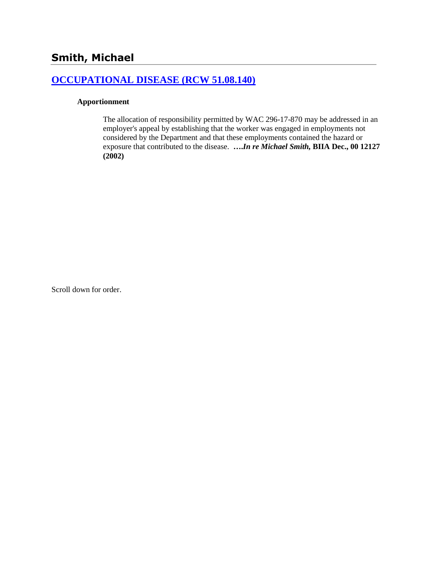# **[OCCUPATIONAL DISEASE \(RCW 51.08.140\)](http://www.biia.wa.gov/SDSubjectIndex.html#OCCUPATIONAL_DISEASE)**

#### **Apportionment**

The allocation of responsibility permitted by WAC 296-17-870 may be addressed in an employer's appeal by establishing that the worker was engaged in employments not considered by the Department and that these employments contained the hazard or exposure that contributed to the disease. **….***In re Michael Smith,* **BIIA Dec., 00 12127 (2002)**

Scroll down for order.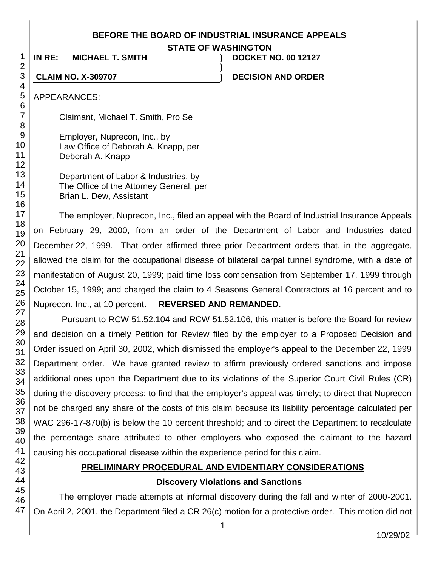#### **BEFORE THE BOARD OF INDUSTRIAL INSURANCE APPEALS**

**STATE OF WASHINGTON**

**)**

**IN RE: MICHAEL T. SMITH ) DOCKET NO. 00 12127**

**CLAIM NO. X-309707 ) DECISION AND ORDER**

APPEARANCES:

Claimant, Michael T. Smith, Pro Se

Employer, Nuprecon, Inc., by Law Office of Deborah A. Knapp, per Deborah A. Knapp

Department of Labor & Industries, by The Office of the Attorney General, per Brian L. Dew, Assistant

The employer, Nuprecon, Inc., filed an appeal with the Board of Industrial Insurance Appeals on February 29, 2000, from an order of the Department of Labor and Industries dated December 22, 1999. That order affirmed three prior Department orders that, in the aggregate, allowed the claim for the occupational disease of bilateral carpal tunnel syndrome, with a date of manifestation of August 20, 1999; paid time loss compensation from September 17, 1999 through October 15, 1999; and charged the claim to 4 Seasons General Contractors at 16 percent and to Nuprecon, Inc., at 10 percent. **REVERSED AND REMANDED.**

Pursuant to RCW 51.52.104 and RCW 51.52.106, this matter is before the Board for review and decision on a timely Petition for Review filed by the employer to a Proposed Decision and Order issued on April 30, 2002, which dismissed the employer's appeal to the December 22, 1999 Department order. We have granted review to affirm previously ordered sanctions and impose additional ones upon the Department due to its violations of the Superior Court Civil Rules (CR) during the discovery process; to find that the employer's appeal was timely; to direct that Nuprecon not be charged any share of the costs of this claim because its liability percentage calculated per WAC 296-17-870(b) is below the 10 percent threshold; and to direct the Department to recalculate the percentage share attributed to other employers who exposed the claimant to the hazard causing his occupational disease within the experience period for this claim.

# **PRELIMINARY PROCEDURAL AND EVIDENTIARY CONSIDERATIONS**

### **Discovery Violations and Sanctions**

The employer made attempts at informal discovery during the fall and winter of 2000-2001. On April 2, 2001, the Department filed a CR 26(c) motion for a protective order. This motion did not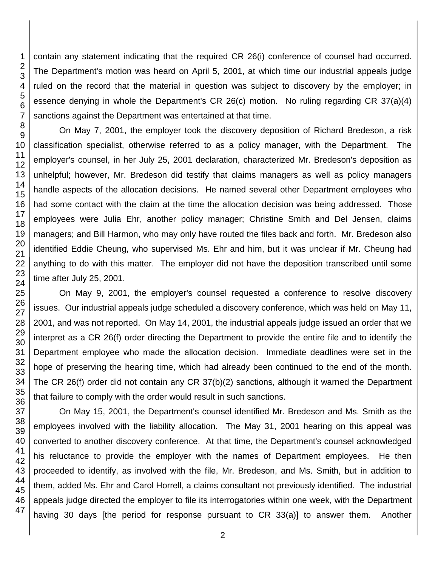contain any statement indicating that the required CR 26(i) conference of counsel had occurred. The Department's motion was heard on April 5, 2001, at which time our industrial appeals judge ruled on the record that the material in question was subject to discovery by the employer; in essence denying in whole the Department's CR 26(c) motion. No ruling regarding CR 37(a)(4) sanctions against the Department was entertained at that time.

On May 7, 2001, the employer took the discovery deposition of Richard Bredeson, a risk classification specialist, otherwise referred to as a policy manager, with the Department. The employer's counsel, in her July 25, 2001 declaration, characterized Mr. Bredeson's deposition as unhelpful; however, Mr. Bredeson did testify that claims managers as well as policy managers handle aspects of the allocation decisions. He named several other Department employees who had some contact with the claim at the time the allocation decision was being addressed. Those employees were Julia Ehr, another policy manager; Christine Smith and Del Jensen, claims managers; and Bill Harmon, who may only have routed the files back and forth. Mr. Bredeson also identified Eddie Cheung, who supervised Ms. Ehr and him, but it was unclear if Mr. Cheung had anything to do with this matter. The employer did not have the deposition transcribed until some time after July 25, 2001.

On May 9, 2001, the employer's counsel requested a conference to resolve discovery issues. Our industrial appeals judge scheduled a discovery conference, which was held on May 11, 2001, and was not reported. On May 14, 2001, the industrial appeals judge issued an order that we interpret as a CR 26(f) order directing the Department to provide the entire file and to identify the Department employee who made the allocation decision. Immediate deadlines were set in the hope of preserving the hearing time, which had already been continued to the end of the month. The CR 26(f) order did not contain any CR 37(b)(2) sanctions, although it warned the Department that failure to comply with the order would result in such sanctions.

On May 15, 2001, the Department's counsel identified Mr. Bredeson and Ms. Smith as the employees involved with the liability allocation. The May 31, 2001 hearing on this appeal was converted to another discovery conference. At that time, the Department's counsel acknowledged his reluctance to provide the employer with the names of Department employees. He then proceeded to identify, as involved with the file, Mr. Bredeson, and Ms. Smith, but in addition to them, added Ms. Ehr and Carol Horrell, a claims consultant not previously identified. The industrial appeals judge directed the employer to file its interrogatories within one week, with the Department having 30 days [the period for response pursuant to CR 33(a)] to answer them. Another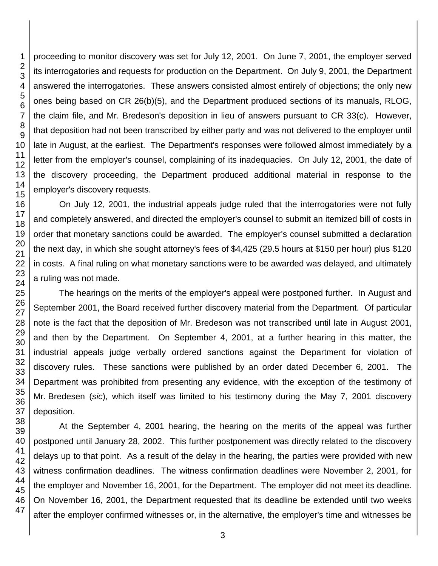proceeding to monitor discovery was set for July 12, 2001. On June 7, 2001, the employer served its interrogatories and requests for production on the Department. On July 9, 2001, the Department answered the interrogatories. These answers consisted almost entirely of objections; the only new ones being based on CR 26(b)(5), and the Department produced sections of its manuals, RLOG, the claim file, and Mr. Bredeson's deposition in lieu of answers pursuant to CR 33(c). However, that deposition had not been transcribed by either party and was not delivered to the employer until late in August, at the earliest. The Department's responses were followed almost immediately by a letter from the employer's counsel, complaining of its inadequacies. On July 12, 2001, the date of the discovery proceeding, the Department produced additional material in response to the employer's discovery requests.

On July 12, 2001, the industrial appeals judge ruled that the interrogatories were not fully and completely answered, and directed the employer's counsel to submit an itemized bill of costs in order that monetary sanctions could be awarded. The employer's counsel submitted a declaration the next day, in which she sought attorney's fees of \$4,425 (29.5 hours at \$150 per hour) plus \$120 in costs. A final ruling on what monetary sanctions were to be awarded was delayed, and ultimately a ruling was not made.

The hearings on the merits of the employer's appeal were postponed further. In August and September 2001, the Board received further discovery material from the Department. Of particular note is the fact that the deposition of Mr. Bredeson was not transcribed until late in August 2001, and then by the Department. On September 4, 2001, at a further hearing in this matter, the industrial appeals judge verbally ordered sanctions against the Department for violation of discovery rules. These sanctions were published by an order dated December 6, 2001. The Department was prohibited from presenting any evidence, with the exception of the testimony of Mr. Bredesen (*sic*), which itself was limited to his testimony during the May 7, 2001 discovery deposition.

At the September 4, 2001 hearing, the hearing on the merits of the appeal was further postponed until January 28, 2002. This further postponement was directly related to the discovery delays up to that point. As a result of the delay in the hearing, the parties were provided with new witness confirmation deadlines. The witness confirmation deadlines were November 2, 2001, for the employer and November 16, 2001, for the Department. The employer did not meet its deadline. On November 16, 2001, the Department requested that its deadline be extended until two weeks after the employer confirmed witnesses or, in the alternative, the employer's time and witnesses be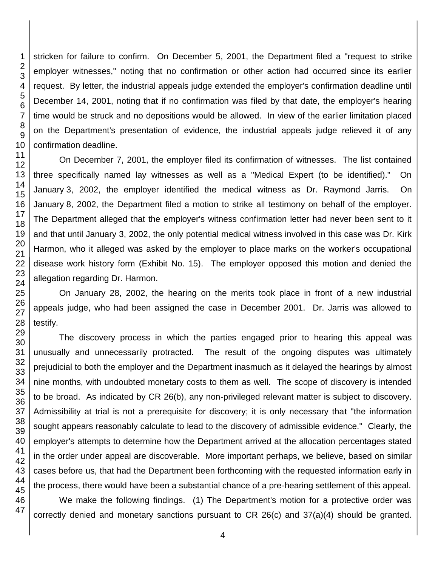stricken for failure to confirm. On December 5, 2001, the Department filed a "request to strike employer witnesses," noting that no confirmation or other action had occurred since its earlier request. By letter, the industrial appeals judge extended the employer's confirmation deadline until December 14, 2001, noting that if no confirmation was filed by that date, the employer's hearing time would be struck and no depositions would be allowed. In view of the earlier limitation placed on the Department's presentation of evidence, the industrial appeals judge relieved it of any confirmation deadline.

On December 7, 2001, the employer filed its confirmation of witnesses. The list contained three specifically named lay witnesses as well as a "Medical Expert (to be identified)." On January 3, 2002, the employer identified the medical witness as Dr. Raymond Jarris. On January 8, 2002, the Department filed a motion to strike all testimony on behalf of the employer. The Department alleged that the employer's witness confirmation letter had never been sent to it and that until January 3, 2002, the only potential medical witness involved in this case was Dr. Kirk Harmon, who it alleged was asked by the employer to place marks on the worker's occupational disease work history form (Exhibit No. 15). The employer opposed this motion and denied the allegation regarding Dr. Harmon.

On January 28, 2002, the hearing on the merits took place in front of a new industrial appeals judge, who had been assigned the case in December 2001. Dr. Jarris was allowed to testify.

The discovery process in which the parties engaged prior to hearing this appeal was unusually and unnecessarily protracted. The result of the ongoing disputes was ultimately prejudicial to both the employer and the Department inasmuch as it delayed the hearings by almost nine months, with undoubted monetary costs to them as well. The scope of discovery is intended to be broad. As indicated by CR 26(b), any non-privileged relevant matter is subject to discovery. Admissibility at trial is not a prerequisite for discovery; it is only necessary that "the information sought appears reasonably calculate to lead to the discovery of admissible evidence." Clearly, the employer's attempts to determine how the Department arrived at the allocation percentages stated in the order under appeal are discoverable. More important perhaps, we believe, based on similar cases before us, that had the Department been forthcoming with the requested information early in the process, there would have been a substantial chance of a pre-hearing settlement of this appeal.

We make the following findings. (1) The Department's motion for a protective order was correctly denied and monetary sanctions pursuant to CR 26(c) and 37(a)(4) should be granted.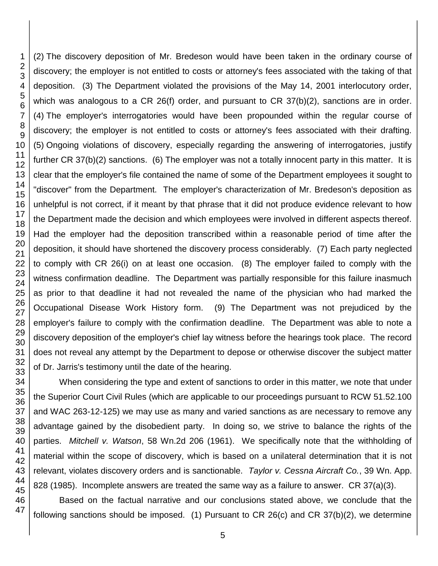47

(2) The discovery deposition of Mr. Bredeson would have been taken in the ordinary course of discovery; the employer is not entitled to costs or attorney's fees associated with the taking of that deposition. (3) The Department violated the provisions of the May 14, 2001 interlocutory order, which was analogous to a CR 26(f) order, and pursuant to CR 37(b)(2), sanctions are in order. (4) The employer's interrogatories would have been propounded within the regular course of discovery; the employer is not entitled to costs or attorney's fees associated with their drafting. (5) Ongoing violations of discovery, especially regarding the answering of interrogatories, justify further CR 37(b)(2) sanctions. (6) The employer was not a totally innocent party in this matter. It is clear that the employer's file contained the name of some of the Department employees it sought to "discover" from the Department. The employer's characterization of Mr. Bredeson's deposition as unhelpful is not correct, if it meant by that phrase that it did not produce evidence relevant to how the Department made the decision and which employees were involved in different aspects thereof. Had the employer had the deposition transcribed within a reasonable period of time after the deposition, it should have shortened the discovery process considerably. (7) Each party neglected to comply with CR 26(i) on at least one occasion. (8) The employer failed to comply with the witness confirmation deadline. The Department was partially responsible for this failure inasmuch as prior to that deadline it had not revealed the name of the physician who had marked the Occupational Disease Work History form. (9) The Department was not prejudiced by the employer's failure to comply with the confirmation deadline. The Department was able to note a discovery deposition of the employer's chief lay witness before the hearings took place. The record does not reveal any attempt by the Department to depose or otherwise discover the subject matter of Dr. Jarris's testimony until the date of the hearing.

When considering the type and extent of sanctions to order in this matter, we note that under the Superior Court Civil Rules (which are applicable to our proceedings pursuant to RCW 51.52.100 and WAC 263-12-125) we may use as many and varied sanctions as are necessary to remove any advantage gained by the disobedient party. In doing so, we strive to balance the rights of the parties. *Mitchell v. Watson*, 58 Wn.2d 206 (1961). We specifically note that the withholding of material within the scope of discovery, which is based on a unilateral determination that it is not relevant, violates discovery orders and is sanctionable. *Taylor v. Cessna Aircraft Co.*, 39 Wn. App. 828 (1985). Incomplete answers are treated the same way as a failure to answer. CR 37(a)(3).

Based on the factual narrative and our conclusions stated above, we conclude that the following sanctions should be imposed. (1) Pursuant to CR 26(c) and CR 37(b)(2), we determine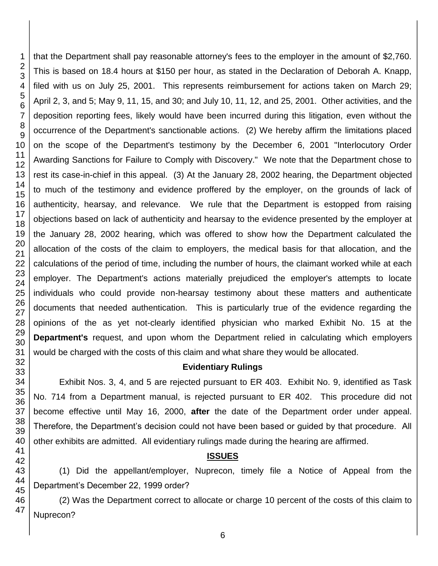47

1

that the Department shall pay reasonable attorney's fees to the employer in the amount of \$2,760. This is based on 18.4 hours at \$150 per hour, as stated in the Declaration of Deborah A. Knapp, filed with us on July 25, 2001. This represents reimbursement for actions taken on March 29; April 2, 3, and 5; May 9, 11, 15, and 30; and July 10, 11, 12, and 25, 2001. Other activities, and the deposition reporting fees, likely would have been incurred during this litigation, even without the occurrence of the Department's sanctionable actions. (2) We hereby affirm the limitations placed on the scope of the Department's testimony by the December 6, 2001 "Interlocutory Order Awarding Sanctions for Failure to Comply with Discovery." We note that the Department chose to rest its case-in-chief in this appeal. (3) At the January 28, 2002 hearing, the Department objected to much of the testimony and evidence proffered by the employer, on the grounds of lack of authenticity, hearsay, and relevance. We rule that the Department is estopped from raising objections based on lack of authenticity and hearsay to the evidence presented by the employer at the January 28, 2002 hearing, which was offered to show how the Department calculated the allocation of the costs of the claim to employers, the medical basis for that allocation, and the calculations of the period of time, including the number of hours, the claimant worked while at each employer. The Department's actions materially prejudiced the employer's attempts to locate individuals who could provide non-hearsay testimony about these matters and authenticate documents that needed authentication. This is particularly true of the evidence regarding the opinions of the as yet not-clearly identified physician who marked Exhibit No. 15 at the **Department's** request, and upon whom the Department relied in calculating which employers would be charged with the costs of this claim and what share they would be allocated.

#### **Evidentiary Rulings**

Exhibit Nos. 3, 4, and 5 are rejected pursuant to ER 403. Exhibit No. 9, identified as Task No. 714 from a Department manual, is rejected pursuant to ER 402. This procedure did not become effective until May 16, 2000, **after** the date of the Department order under appeal. Therefore, the Department's decision could not have been based or guided by that procedure. All other exhibits are admitted. All evidentiary rulings made during the hearing are affirmed.

# **ISSUES**

(1) Did the appellant/employer, Nuprecon, timely file a Notice of Appeal from the Department's December 22, 1999 order?

(2) Was the Department correct to allocate or charge 10 percent of the costs of this claim to Nuprecon?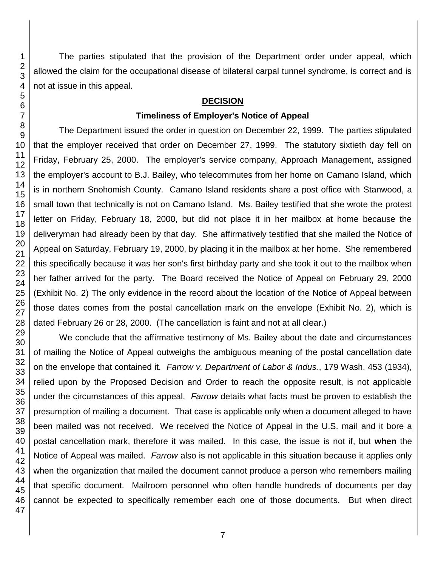The parties stipulated that the provision of the Department order under appeal, which allowed the claim for the occupational disease of bilateral carpal tunnel syndrome, is correct and is not at issue in this appeal.

#### **DECISION**

### **Timeliness of Employer's Notice of Appeal**

The Department issued the order in question on December 22, 1999. The parties stipulated that the employer received that order on December 27, 1999. The statutory sixtieth day fell on Friday, February 25, 2000. The employer's service company, Approach Management, assigned the employer's account to B.J. Bailey, who telecommutes from her home on Camano Island, which is in northern Snohomish County. Camano Island residents share a post office with Stanwood, a small town that technically is not on Camano Island. Ms. Bailey testified that she wrote the protest letter on Friday, February 18, 2000, but did not place it in her mailbox at home because the deliveryman had already been by that day. She affirmatively testified that she mailed the Notice of Appeal on Saturday, February 19, 2000, by placing it in the mailbox at her home. She remembered this specifically because it was her son's first birthday party and she took it out to the mailbox when her father arrived for the party. The Board received the Notice of Appeal on February 29, 2000 (Exhibit No. 2) The only evidence in the record about the location of the Notice of Appeal between those dates comes from the postal cancellation mark on the envelope (Exhibit No. 2), which is dated February 26 or 28, 2000. (The cancellation is faint and not at all clear.)

We conclude that the affirmative testimony of Ms. Bailey about the date and circumstances of mailing the Notice of Appeal outweighs the ambiguous meaning of the postal cancellation date on the envelope that contained it. *Farrow v. Department of Labor & Indus.*, 179 Wash. 453 (1934), relied upon by the Proposed Decision and Order to reach the opposite result, is not applicable under the circumstances of this appeal. *Farrow* details what facts must be proven to establish the presumption of mailing a document. That case is applicable only when a document alleged to have been mailed was not received. We received the Notice of Appeal in the U.S. mail and it bore a postal cancellation mark, therefore it was mailed. In this case, the issue is not if, but **when** the Notice of Appeal was mailed. *Farrow* also is not applicable in this situation because it applies only when the organization that mailed the document cannot produce a person who remembers mailing that specific document. Mailroom personnel who often handle hundreds of documents per day cannot be expected to specifically remember each one of those documents. But when direct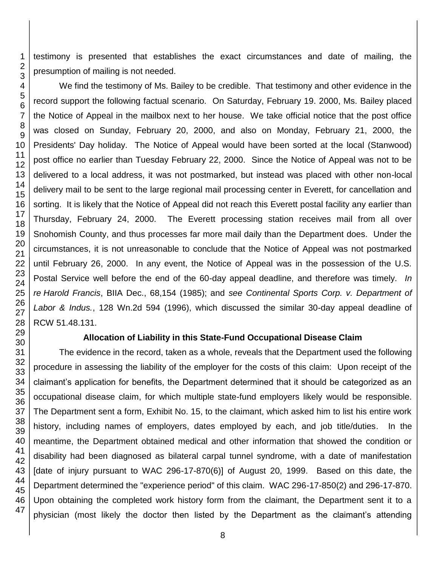testimony is presented that establishes the exact circumstances and date of mailing, the presumption of mailing is not needed.

We find the testimony of Ms. Bailey to be credible. That testimony and other evidence in the record support the following factual scenario. On Saturday, February 19. 2000, Ms. Bailey placed the Notice of Appeal in the mailbox next to her house. We take official notice that the post office was closed on Sunday, February 20, 2000, and also on Monday, February 21, 2000, the Presidents' Day holiday. The Notice of Appeal would have been sorted at the local (Stanwood) post office no earlier than Tuesday February 22, 2000. Since the Notice of Appeal was not to be delivered to a local address, it was not postmarked, but instead was placed with other non-local delivery mail to be sent to the large regional mail processing center in Everett, for cancellation and sorting. It is likely that the Notice of Appeal did not reach this Everett postal facility any earlier than Thursday, February 24, 2000. The Everett processing station receives mail from all over Snohomish County, and thus processes far more mail daily than the Department does. Under the circumstances, it is not unreasonable to conclude that the Notice of Appeal was not postmarked until February 26, 2000. In any event, the Notice of Appeal was in the possession of the U.S. Postal Service well before the end of the 60-day appeal deadline, and therefore was timely. *In re Harold Francis*, BIIA Dec., 68,154 (1985); and *see Continental Sports Corp. v. Department of Labor & Indus.*, 128 Wn.2d 594 (1996), which discussed the similar 30-day appeal deadline of RCW 51.48.131.

#### **Allocation of Liability in this State-Fund Occupational Disease Claim**

The evidence in the record, taken as a whole, reveals that the Department used the following procedure in assessing the liability of the employer for the costs of this claim: Upon receipt of the claimant's application for benefits, the Department determined that it should be categorized as an occupational disease claim, for which multiple state-fund employers likely would be responsible. The Department sent a form, Exhibit No. 15, to the claimant, which asked him to list his entire work history, including names of employers, dates employed by each, and job title/duties. In the meantime, the Department obtained medical and other information that showed the condition or disability had been diagnosed as bilateral carpal tunnel syndrome, with a date of manifestation [date of injury pursuant to WAC 296-17-870(6)] of August 20, 1999. Based on this date, the Department determined the "experience period" of this claim. WAC 296-17-850(2) and 296-17-870. Upon obtaining the completed work history form from the claimant, the Department sent it to a physician (most likely the doctor then listed by the Department as the claimant's attending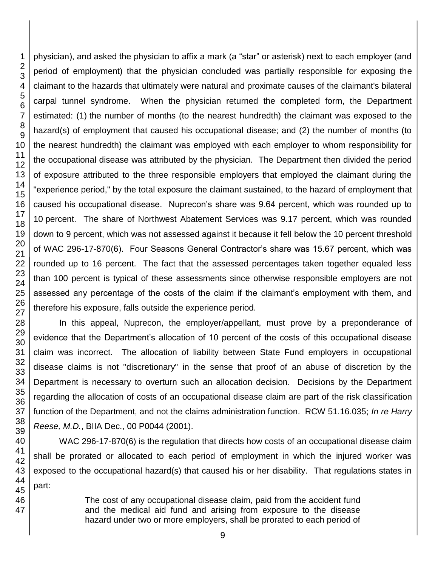physician), and asked the physician to affix a mark (a "star" or asterisk) next to each employer (and period of employment) that the physician concluded was partially responsible for exposing the claimant to the hazards that ultimately were natural and proximate causes of the claimant's bilateral carpal tunnel syndrome. When the physician returned the completed form, the Department estimated: (1) the number of months (to the nearest hundredth) the claimant was exposed to the hazard(s) of employment that caused his occupational disease; and (2) the number of months (to the nearest hundredth) the claimant was employed with each employer to whom responsibility for the occupational disease was attributed by the physician. The Department then divided the period of exposure attributed to the three responsible employers that employed the claimant during the "experience period," by the total exposure the claimant sustained, to the hazard of employment that caused his occupational disease. Nuprecon's share was 9.64 percent, which was rounded up to percent. The share of Northwest Abatement Services was 9.17 percent, which was rounded down to 9 percent, which was not assessed against it because it fell below the 10 percent threshold of WAC 296-17-870(6). Four Seasons General Contractor's share was 15.67 percent, which was rounded up to 16 percent. The fact that the assessed percentages taken together equaled less than 100 percent is typical of these assessments since otherwise responsible employers are not assessed any percentage of the costs of the claim if the claimant's employment with them, and therefore his exposure, falls outside the experience period.

In this appeal, Nuprecon, the employer/appellant, must prove by a preponderance of evidence that the Department's allocation of 10 percent of the costs of this occupational disease claim was incorrect. The allocation of liability between State Fund employers in occupational disease claims is not "discretionary" in the sense that proof of an abuse of discretion by the Department is necessary to overturn such an allocation decision. Decisions by the Department regarding the allocation of costs of an occupational disease claim are part of the risk classification function of the Department, and not the claims administration function. RCW 51.16.035; *In re Harry Reese, M.D.*, BIIA Dec., 00 P0044 (2001).

WAC 296-17-870(6) is the regulation that directs how costs of an occupational disease claim shall be prorated or allocated to each period of employment in which the injured worker was exposed to the occupational hazard(s) that caused his or her disability. That regulations states in part:

> The cost of any occupational disease claim, paid from the accident fund and the medical aid fund and arising from exposure to the disease hazard under two or more employers, shall be prorated to each period of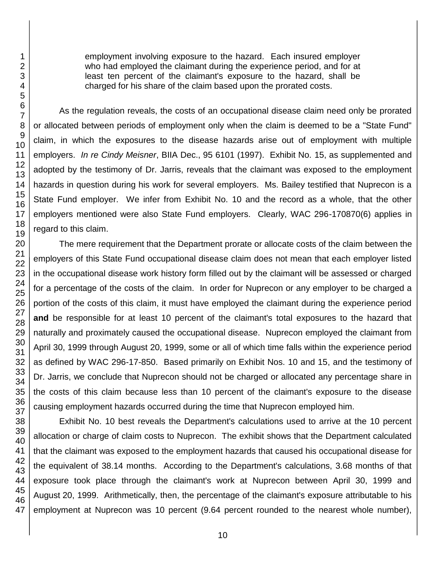employment involving exposure to the hazard. Each insured employer who had employed the claimant during the experience period, and for at least ten percent of the claimant's exposure to the hazard, shall be charged for his share of the claim based upon the prorated costs.

As the regulation reveals, the costs of an occupational disease claim need only be prorated or allocated between periods of employment only when the claim is deemed to be a "State Fund" claim, in which the exposures to the disease hazards arise out of employment with multiple employers. *In re Cindy Meisner*, BIIA Dec., 95 6101 (1997). Exhibit No. 15, as supplemented and adopted by the testimony of Dr. Jarris, reveals that the claimant was exposed to the employment hazards in question during his work for several employers. Ms. Bailey testified that Nuprecon is a State Fund employer. We infer from Exhibit No. 10 and the record as a whole, that the other employers mentioned were also State Fund employers. Clearly, WAC 296-170870(6) applies in regard to this claim.

The mere requirement that the Department prorate or allocate costs of the claim between the employers of this State Fund occupational disease claim does not mean that each employer listed in the occupational disease work history form filled out by the claimant will be assessed or charged for a percentage of the costs of the claim. In order for Nuprecon or any employer to be charged a portion of the costs of this claim, it must have employed the claimant during the experience period **and** be responsible for at least 10 percent of the claimant's total exposures to the hazard that naturally and proximately caused the occupational disease. Nuprecon employed the claimant from April 30, 1999 through August 20, 1999, some or all of which time falls within the experience period as defined by WAC 296-17-850. Based primarily on Exhibit Nos. 10 and 15, and the testimony of Dr. Jarris, we conclude that Nuprecon should not be charged or allocated any percentage share in the costs of this claim because less than 10 percent of the claimant's exposure to the disease causing employment hazards occurred during the time that Nuprecon employed him.

Exhibit No. 10 best reveals the Department's calculations used to arrive at the 10 percent allocation or charge of claim costs to Nuprecon. The exhibit shows that the Department calculated that the claimant was exposed to the employment hazards that caused his occupational disease for the equivalent of 38.14 months. According to the Department's calculations, 3.68 months of that exposure took place through the claimant's work at Nuprecon between April 30, 1999 and August 20, 1999. Arithmetically, then, the percentage of the claimant's exposure attributable to his employment at Nuprecon was 10 percent (9.64 percent rounded to the nearest whole number),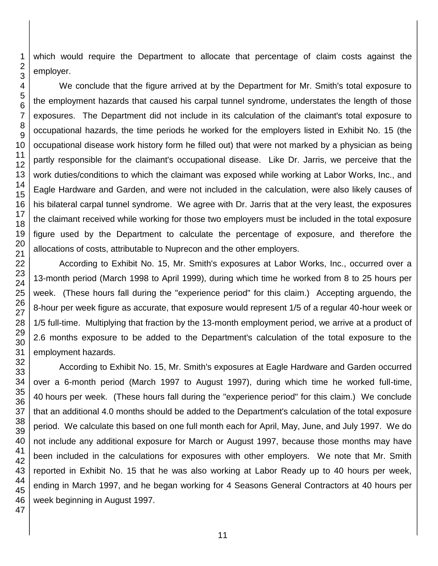which would require the Department to allocate that percentage of claim costs against the employer.

We conclude that the figure arrived at by the Department for Mr. Smith's total exposure to the employment hazards that caused his carpal tunnel syndrome, understates the length of those exposures. The Department did not include in its calculation of the claimant's total exposure to occupational hazards, the time periods he worked for the employers listed in Exhibit No. 15 (the occupational disease work history form he filled out) that were not marked by a physician as being partly responsible for the claimant's occupational disease. Like Dr. Jarris, we perceive that the work duties/conditions to which the claimant was exposed while working at Labor Works, Inc., and Eagle Hardware and Garden, and were not included in the calculation, were also likely causes of his bilateral carpal tunnel syndrome. We agree with Dr. Jarris that at the very least, the exposures the claimant received while working for those two employers must be included in the total exposure figure used by the Department to calculate the percentage of exposure, and therefore the allocations of costs, attributable to Nuprecon and the other employers.

According to Exhibit No. 15, Mr. Smith's exposures at Labor Works, Inc., occurred over a 13-month period (March 1998 to April 1999), during which time he worked from 8 to 25 hours per week. (These hours fall during the "experience period" for this claim.) Accepting arguendo, the 8-hour per week figure as accurate, that exposure would represent 1/5 of a regular 40-hour week or 1/5 full-time. Multiplying that fraction by the 13-month employment period, we arrive at a product of 2.6 months exposure to be added to the Department's calculation of the total exposure to the employment hazards.

According to Exhibit No. 15, Mr. Smith's exposures at Eagle Hardware and Garden occurred over a 6-month period (March 1997 to August 1997), during which time he worked full-time, hours per week. (These hours fall during the "experience period" for this claim.) We conclude that an additional 4.0 months should be added to the Department's calculation of the total exposure period. We calculate this based on one full month each for April, May, June, and July 1997. We do not include any additional exposure for March or August 1997, because those months may have been included in the calculations for exposures with other employers. We note that Mr. Smith reported in Exhibit No. 15 that he was also working at Labor Ready up to 40 hours per week, ending in March 1997, and he began working for 4 Seasons General Contractors at 40 hours per week beginning in August 1997.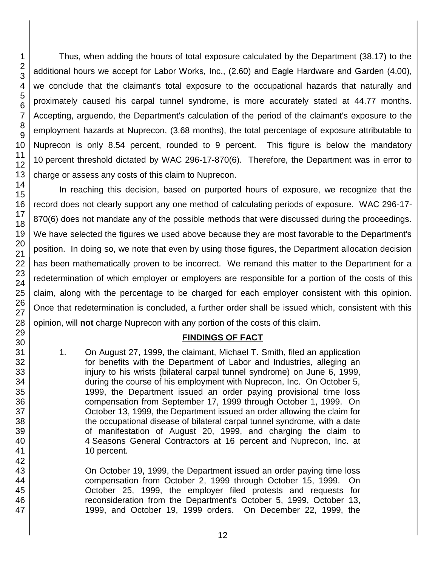Thus, when adding the hours of total exposure calculated by the Department (38.17) to the additional hours we accept for Labor Works, Inc., (2.60) and Eagle Hardware and Garden (4.00), we conclude that the claimant's total exposure to the occupational hazards that naturally and proximately caused his carpal tunnel syndrome, is more accurately stated at 44.77 months. Accepting, arguendo, the Department's calculation of the period of the claimant's exposure to the employment hazards at Nuprecon, (3.68 months), the total percentage of exposure attributable to Nuprecon is only 8.54 percent, rounded to 9 percent. This figure is below the mandatory percent threshold dictated by WAC 296-17-870(6). Therefore, the Department was in error to charge or assess any costs of this claim to Nuprecon.

In reaching this decision, based on purported hours of exposure, we recognize that the record does not clearly support any one method of calculating periods of exposure. WAC 296-17- 870(6) does not mandate any of the possible methods that were discussed during the proceedings. We have selected the figures we used above because they are most favorable to the Department's position. In doing so, we note that even by using those figures, the Department allocation decision has been mathematically proven to be incorrect. We remand this matter to the Department for a redetermination of which employer or employers are responsible for a portion of the costs of this claim, along with the percentage to be charged for each employer consistent with this opinion. Once that redetermination is concluded, a further order shall be issued which, consistent with this opinion, will **not** charge Nuprecon with any portion of the costs of this claim.

### **FINDINGS OF FACT**

1. On August 27, 1999, the claimant, Michael T. Smith, filed an application for benefits with the Department of Labor and Industries, alleging an injury to his wrists (bilateral carpal tunnel syndrome) on June 6, 1999, during the course of his employment with Nuprecon, Inc. On October 5, 1999, the Department issued an order paying provisional time loss compensation from September 17, 1999 through October 1, 1999. On October 13, 1999, the Department issued an order allowing the claim for the occupational disease of bilateral carpal tunnel syndrome, with a date of manifestation of August 20, 1999, and charging the claim to Seasons General Contractors at 16 percent and Nuprecon, Inc. at percent.

On October 19, 1999, the Department issued an order paying time loss compensation from October 2, 1999 through October 15, 1999. On October 25, 1999, the employer filed protests and requests for reconsideration from the Department's October 5, 1999, October 13, 1999, and October 19, 1999 orders. On December 22, 1999, the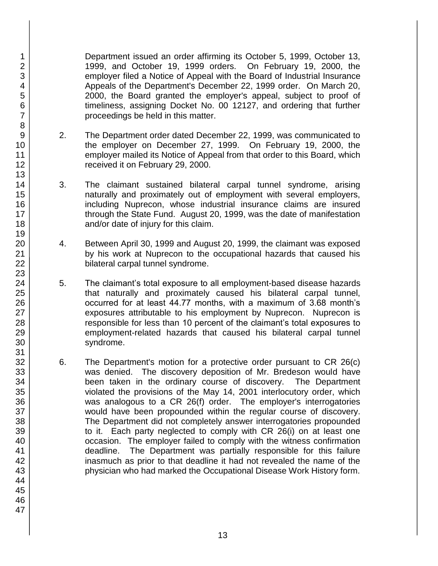Department issued an order affirming its October 5, 1999, October 13, 1999, and October 19, 1999 orders. On February 19, 2000, the employer filed a Notice of Appeal with the Board of Industrial Insurance Appeals of the Department's December 22, 1999 order. On March 20, 2000, the Board granted the employer's appeal, subject to proof of timeliness, assigning Docket No. 00 12127, and ordering that further proceedings be held in this matter.

- 2. The Department order dated December 22, 1999, was communicated to the employer on December 27, 1999. On February 19, 2000, the employer mailed its Notice of Appeal from that order to this Board, which received it on February 29, 2000.
- 3. The claimant sustained bilateral carpal tunnel syndrome, arising naturally and proximately out of employment with several employers, including Nuprecon, whose industrial insurance claims are insured through the State Fund. August 20, 1999, was the date of manifestation and/or date of injury for this claim.
- 4. Between April 30, 1999 and August 20, 1999, the claimant was exposed by his work at Nuprecon to the occupational hazards that caused his bilateral carpal tunnel syndrome.
- 5. The claimant's total exposure to all employment-based disease hazards that naturally and proximately caused his bilateral carpal tunnel, occurred for at least 44.77 months, with a maximum of 3.68 month's exposures attributable to his employment by Nuprecon. Nuprecon is responsible for less than 10 percent of the claimant's total exposures to employment-related hazards that caused his bilateral carpal tunnel syndrome.
- 6. The Department's motion for a protective order pursuant to CR 26(c) was denied. The discovery deposition of Mr. Bredeson would have been taken in the ordinary course of discovery. The Department violated the provisions of the May 14, 2001 interlocutory order, which was analogous to a CR 26(f) order. The employer's interrogatories would have been propounded within the regular course of discovery. The Department did not completely answer interrogatories propounded to it. Each party neglected to comply with CR 26(i) on at least one occasion. The employer failed to comply with the witness confirmation deadline. The Department was partially responsible for this failure inasmuch as prior to that deadline it had not revealed the name of the physician who had marked the Occupational Disease Work History form.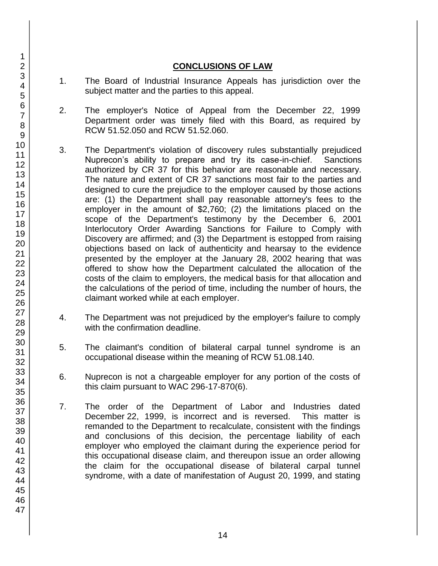### **CONCLUSIONS OF LAW**

- 1. The Board of Industrial Insurance Appeals has jurisdiction over the subject matter and the parties to this appeal.
- 2. The employer's Notice of Appeal from the December 22, 1999 Department order was timely filed with this Board, as required by RCW 51.52.050 and RCW 51.52.060.
- 3. The Department's violation of discovery rules substantially prejudiced Nuprecon's ability to prepare and try its case-in-chief. Sanctions authorized by CR 37 for this behavior are reasonable and necessary. The nature and extent of CR 37 sanctions most fair to the parties and designed to cure the prejudice to the employer caused by those actions are: (1) the Department shall pay reasonable attorney's fees to the employer in the amount of \$2,760; (2) the limitations placed on the scope of the Department's testimony by the December 6, 2001 Interlocutory Order Awarding Sanctions for Failure to Comply with Discovery are affirmed; and (3) the Department is estopped from raising objections based on lack of authenticity and hearsay to the evidence presented by the employer at the January 28, 2002 hearing that was offered to show how the Department calculated the allocation of the costs of the claim to employers, the medical basis for that allocation and the calculations of the period of time, including the number of hours, the claimant worked while at each employer.
- 4. The Department was not prejudiced by the employer's failure to comply with the confirmation deadline.
- 5. The claimant's condition of bilateral carpal tunnel syndrome is an occupational disease within the meaning of RCW 51.08.140.
- 6. Nuprecon is not a chargeable employer for any portion of the costs of this claim pursuant to WAC 296-17-870(6).
- 7. The order of the Department of Labor and Industries dated December 22, 1999, is incorrect and is reversed. This matter is remanded to the Department to recalculate, consistent with the findings and conclusions of this decision, the percentage liability of each employer who employed the claimant during the experience period for this occupational disease claim, and thereupon issue an order allowing the claim for the occupational disease of bilateral carpal tunnel syndrome, with a date of manifestation of August 20, 1999, and stating